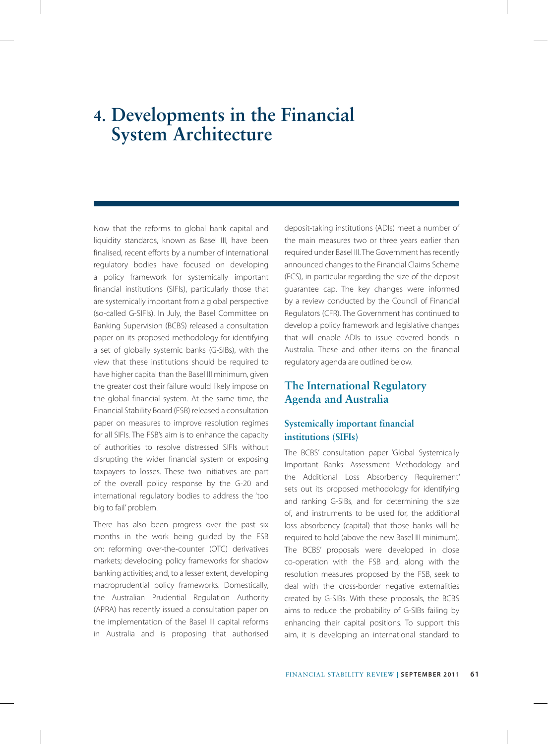# **4. Developments in the Financial System Architecture**

Now that the reforms to global bank capital and liquidity standards, known as Basel III, have been finalised, recent efforts by a number of international regulatory bodies have focused on developing a policy framework for systemically important financial institutions (SIFIs), particularly those that are systemically important from a global perspective (so-called G-SIFIs). In July, the Basel Committee on Banking Supervision (BCBS) released a consultation paper on its proposed methodology for identifying a set of globally systemic banks (G-SIBs), with the view that these institutions should be required to have higher capital than the Basel III minimum, given the greater cost their failure would likely impose on the global financial system. At the same time, the Financial Stability Board (FSB) released a consultation paper on measures to improve resolution regimes for all SIFIs. The FSB's aim is to enhance the capacity of authorities to resolve distressed SIFIs without disrupting the wider financial system or exposing taxpayers to losses. These two initiatives are part of the overall policy response by the G-20 and international regulatory bodies to address the 'too big to fail' problem.

There has also been progress over the past six months in the work being guided by the FSB on: reforming over-the-counter (OTC) derivatives markets; developing policy frameworks for shadow banking activities; and, to a lesser extent, developing macroprudential policy frameworks. Domestically, the Australian Prudential Regulation Authority (APRA) has recently issued a consultation paper on the implementation of the Basel III capital reforms in Australia and is proposing that authorised deposit-taking institutions (ADIs) meet a number of the main measures two or three years earlier than required under Basel III. The Government has recently announced changes to the Financial Claims Scheme (FCS), in particular regarding the size of the deposit guarantee cap. The key changes were informed by a review conducted by the Council of Financial Regulators (CFR). The Government has continued to develop a policy framework and legislative changes that will enable ADIs to issue covered bonds in Australia. These and other items on the financial regulatory agenda are outlined below.

# **The International Regulatory Agenda and Australia**

# **Systemically important financial institutions (SIFIs)**

The BCBS' consultation paper 'Global Systemically Important Banks: Assessment Methodology and the Additional Loss Absorbency Requirement' sets out its proposed methodology for identifying and ranking G-SIBs, and for determining the size of, and instruments to be used for, the additional loss absorbency (capital) that those banks will be required to hold (above the new Basel III minimum). The BCBS' proposals were developed in close co-operation with the FSB and, along with the resolution measures proposed by the FSB, seek to deal with the cross-border negative externalities created by G-SIBs. With these proposals, the BCBS aims to reduce the probability of G-SIBs failing by enhancing their capital positions. To support this aim, it is developing an international standard to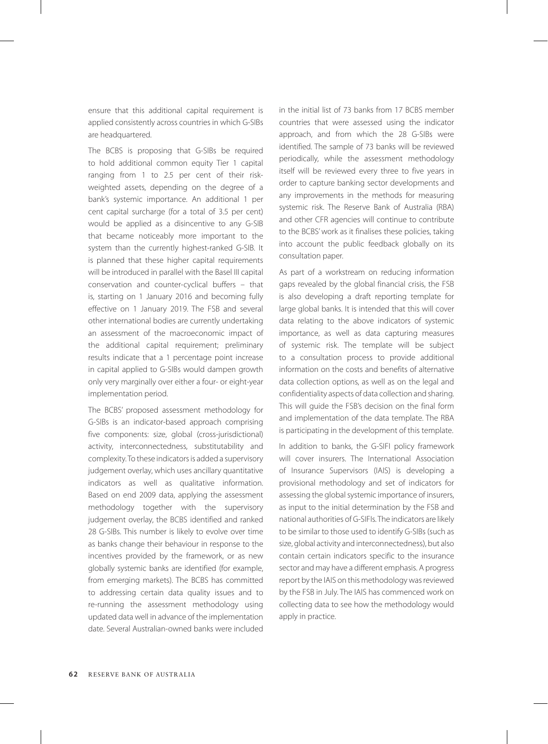ensure that this additional capital requirement is applied consistently across countries in which G-SIBs are headquartered.

The BCBS is proposing that G-SIBs be required to hold additional common equity Tier 1 capital ranging from 1 to 2.5 per cent of their riskweighted assets, depending on the degree of a bank's systemic importance. An additional 1 per cent capital surcharge (for a total of 3.5 per cent) would be applied as a disincentive to any G-SIB that became noticeably more important to the system than the currently highest-ranked G-SIB. It is planned that these higher capital requirements will be introduced in parallel with the Basel III capital conservation and counter-cyclical buffers – that is, starting on 1 January 2016 and becoming fully effective on 1 January 2019. The FSB and several other international bodies are currently undertaking an assessment of the macroeconomic impact of the additional capital requirement; preliminary results indicate that a 1 percentage point increase in capital applied to G-SIBs would dampen growth only very marginally over either a four- or eight-year implementation period.

The BCBS' proposed assessment methodology for G-SIBs is an indicator-based approach comprising five components: size, global (cross-jurisdictional) activity, interconnectedness, substitutability and complexity. To these indicators is added a supervisory judgement overlay, which uses ancillary quantitative indicators as well as qualitative information. Based on end 2009 data, applying the assessment methodology together with the supervisory judgement overlay, the BCBS identified and ranked 28 G-SIBs. This number is likely to evolve over time as banks change their behaviour in response to the incentives provided by the framework, or as new globally systemic banks are identified (for example, from emerging markets). The BCBS has committed to addressing certain data quality issues and to re-running the assessment methodology using updated data well in advance of the implementation date. Several Australian-owned banks were included

in the initial list of 73 banks from 17 BCBS member countries that were assessed using the indicator approach, and from which the 28 G-SIBs were identified. The sample of 73 banks will be reviewed periodically, while the assessment methodology itself will be reviewed every three to five years in order to capture banking sector developments and any improvements in the methods for measuring systemic risk. The Reserve Bank of Australia (RBA) and other CFR agencies will continue to contribute to the BCBS' work as it finalises these policies, taking into account the public feedback globally on its consultation paper.

As part of a workstream on reducing information gaps revealed by the global financial crisis, the FSB is also developing a draft reporting template for large global banks. It is intended that this will cover data relating to the above indicators of systemic importance, as well as data capturing measures of systemic risk. The template will be subject to a consultation process to provide additional information on the costs and benefits of alternative data collection options, as well as on the legal and confidentiality aspects of data collection and sharing. This will guide the FSB's decision on the final form and implementation of the data template. The RBA is participating in the development of this template.

In addition to banks, the G-SIFI policy framework will cover insurers. The International Association of Insurance Supervisors (IAIS) is developing a provisional methodology and set of indicators for assessing the global systemic importance of insurers, as input to the initial determination by the FSB and national authorities of G-SIFIs. The indicators are likely to be similar to those used to identify G-SIBs (such as size, global activity and interconnectedness), but also contain certain indicators specific to the insurance sector and may have a different emphasis. A progress report by the IAIS on this methodology was reviewed by the FSB in July. The IAIS has commenced work on collecting data to see how the methodology would apply in practice.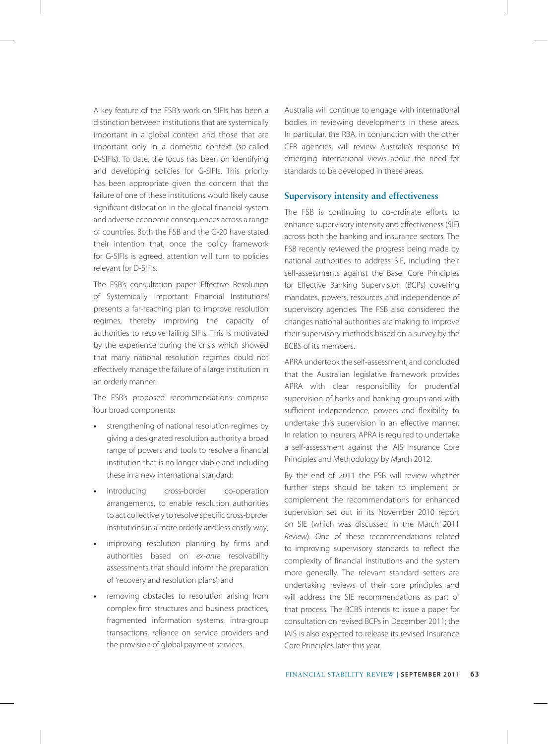A key feature of the FSB's work on SIFIs has been a distinction between institutions that are systemically important in a global context and those that are important only in a domestic context (so-called D-SIFIs). To date, the focus has been on identifying and developing policies for G-SIFIs. This priority has been appropriate given the concern that the failure of one of these institutions would likely cause significant dislocation in the global financial system and adverse economic consequences across a range of countries. Both the FSB and the G-20 have stated their intention that, once the policy framework for G-SIFIs is agreed, attention will turn to policies relevant for D-SIFIs.

The FSB's consultation paper 'Effective Resolution of Systemically Important Financial Institutions' presents a far-reaching plan to improve resolution regimes, thereby improving the capacity of authorities to resolve failing SIFIs. This is motivated by the experience during the crisis which showed that many national resolution regimes could not effectively manage the failure of a large institution in an orderly manner.

The FSB's proposed recommendations comprise four broad components:

- **•** strengthening of national resolution regimes by giving a designated resolution authority a broad range of powers and tools to resolve a financial institution that is no longer viable and including these in a new international standard;
- **•** introducing cross-border co-operation arrangements, to enable resolution authorities to act collectively to resolve specific cross-border institutions in a more orderly and less costly way;
- **•** improving resolution planning by firms and authorities based on *ex-ante* resolvability assessments that should inform the preparation of 'recovery and resolution plans'; and
- **•** removing obstacles to resolution arising from complex firm structures and business practices, fragmented information systems, intra-group transactions, reliance on service providers and the provision of global payment services.

Australia will continue to engage with international bodies in reviewing developments in these areas. In particular, the RBA, in conjunction with the other CFR agencies, will review Australia's response to emerging international views about the need for standards to be developed in these areas.

#### **Supervisory intensity and effectiveness**

The FSB is continuing to co-ordinate efforts to enhance supervisory intensity and effectiveness (SIE) across both the banking and insurance sectors. The FSB recently reviewed the progress being made by national authorities to address SIE, including their self-assessments against the Basel Core Principles for Effective Banking Supervision (BCPs) covering mandates, powers, resources and independence of supervisory agencies. The FSB also considered the changes national authorities are making to improve their supervisory methods based on a survey by the BCBS of its members.

APRA undertook the self-assessment, and concluded that the Australian legislative framework provides APRA with clear responsibility for prudential supervision of banks and banking groups and with sufficient independence, powers and flexibility to undertake this supervision in an effective manner. In relation to insurers, APRA is required to undertake a self-assessment against the IAIS Insurance Core Principles and Methodology by March 2012.

By the end of 2011 the FSB will review whether further steps should be taken to implement or complement the recommendations for enhanced supervision set out in its November 2010 report on SIE (which was discussed in the March 2011 *Review*). One of these recommendations related to improving supervisory standards to reflect the complexity of financial institutions and the system more generally. The relevant standard setters are undertaking reviews of their core principles and will address the SIE recommendations as part of that process. The BCBS intends to issue a paper for consultation on revised BCPs in December 2011; the IAIS is also expected to release its revised Insurance Core Principles later this year.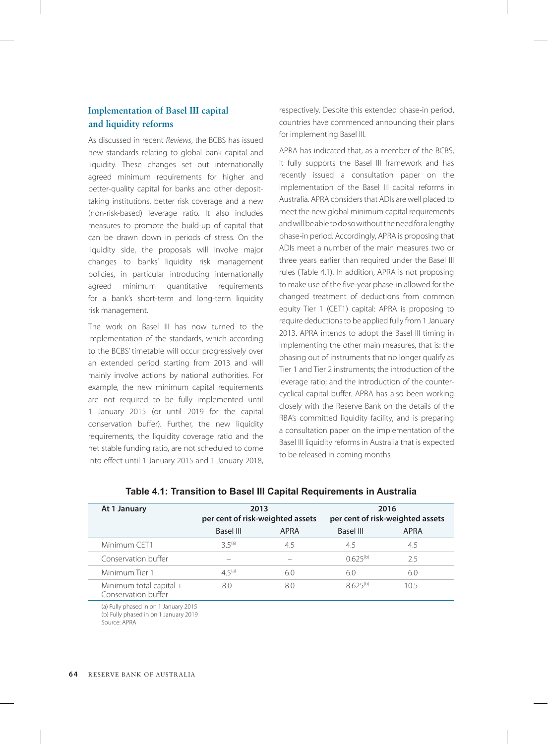# **Implementation of Basel III capital and liquidity reforms**

As discussed in recent *Reviews*, the BCBS has issued new standards relating to global bank capital and liquidity. These changes set out internationally agreed minimum requirements for higher and better-quality capital for banks and other deposittaking institutions, better risk coverage and a new (non-risk-based) leverage ratio. It also includes measures to promote the build-up of capital that can be drawn down in periods of stress. On the liquidity side, the proposals will involve major changes to banks' liquidity risk management policies, in particular introducing internationally agreed minimum quantitative requirements for a bank's short-term and long-term liquidity risk management.

The work on Basel III has now turned to the implementation of the standards, which according to the BCBS' timetable will occur progressively over an extended period starting from 2013 and will mainly involve actions by national authorities. For example, the new minimum capital requirements are not required to be fully implemented until 1 January 2015 (or until 2019 for the capital conservation buffer). Further, the new liquidity requirements, the liquidity coverage ratio and the net stable funding ratio, are not scheduled to come into effect until 1 January 2015 and 1 January 2018,

respectively. Despite this extended phase-in period, countries have commenced announcing their plans for implementing Basel III.

APRA has indicated that, as a member of the BCBS, it fully supports the Basel III framework and has recently issued a consultation paper on the implementation of the Basel III capital reforms in Australia. APRA considers that ADIs are well placed to meet the new global minimum capital requirements and will be able to do so without the need for a lengthy phase-in period. Accordingly, APRA is proposing that ADIs meet a number of the main measures two or three years earlier than required under the Basel III rules (Table 4.1). In addition, APRA is not proposing to make use of the five-year phase-in allowed for the changed treatment of deductions from common equity Tier 1 (CET1) capital: APRA is proposing to require deductions to be applied fully from 1 January 2013. APRA intends to adopt the Basel III timing in implementing the other main measures, that is: the phasing out of instruments that no longer qualify as Tier 1 and Tier 2 instruments; the introduction of the leverage ratio; and the introduction of the countercyclical capital buffer. APRA has also been working closely with the Reserve Bank on the details of the RBA's committed liquidity facility, and is preparing a consultation paper on the implementation of the Basel III liquidity reforms in Australia that is expected to be released in coming months.

| 2013<br>per cent of risk-weighted assets |             | 2016<br>per cent of risk-weighted assets |      |
|------------------------------------------|-------------|------------------------------------------|------|
| <b>Basel III</b>                         | <b>APRA</b> | Basel III                                | APRA |
| $35^{(a)}$                               | 4.5         | 4.5                                      | 4.5  |
|                                          |             | $0.625^{(b)}$                            | 2.5  |
| $45^{(a)}$                               | 6.0         | 6.0                                      | 6.0  |
| 8.0                                      | 8.0         | $8625^{(b)}$                             | 10.5 |
|                                          |             |                                          |      |

**Table 4.1: Transition to Basel III Capital Requirements in Australia**

(a) Fully phased in on 1 January 2015 (b) Fully phased in on 1 January 2019 Source: APRA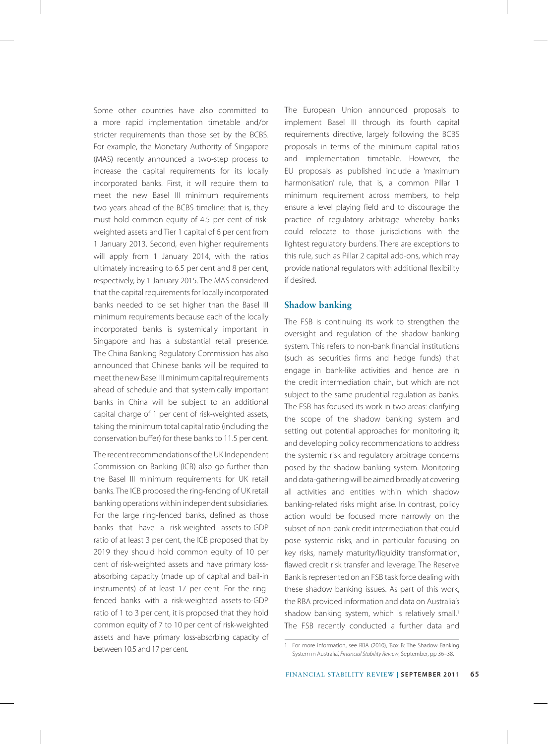Some other countries have also committed to a more rapid implementation timetable and/or stricter requirements than those set by the BCBS. For example, the Monetary Authority of Singapore (MAS) recently announced a two-step process to increase the capital requirements for its locally incorporated banks. First, it will require them to meet the new Basel III minimum requirements two years ahead of the BCBS timeline: that is, they must hold common equity of 4.5 per cent of riskweighted assets and Tier 1 capital of 6 per cent from 1 January 2013. Second, even higher requirements will apply from 1 January 2014, with the ratios ultimately increasing to 6.5 per cent and 8 per cent, respectively, by 1 January 2015. The MAS considered that the capital requirements for locally incorporated banks needed to be set higher than the Basel III minimum requirements because each of the locally incorporated banks is systemically important in Singapore and has a substantial retail presence. The China Banking Regulatory Commission has also announced that Chinese banks will be required to meet the new Basel III minimum capital requirements ahead of schedule and that systemically important banks in China will be subject to an additional capital charge of 1 per cent of risk-weighted assets, taking the minimum total capital ratio (including the conservation buffer) for these banks to 11.5 per cent.

The recent recommendations of the UK Independent Commission on Banking (ICB) also go further than the Basel III minimum requirements for UK retail banks. The ICB proposed the ring-fencing of UK retail banking operations within independent subsidiaries. For the large ring-fenced banks, defined as those banks that have a risk-weighted assets-to-GDP ratio of at least 3 per cent, the ICB proposed that by 2019 they should hold common equity of 10 per cent of risk-weighted assets and have primary lossabsorbing capacity (made up of capital and bail-in instruments) of at least 17 per cent. For the ringfenced banks with a risk-weighted assets-to-GDP ratio of 1 to 3 per cent, it is proposed that they hold common equity of 7 to 10 per cent of risk-weighted assets and have primary loss-absorbing capacity of between 10.5 and 17 per cent.

The European Union announced proposals to implement Basel III through its fourth capital requirements directive, largely following the BCBS proposals in terms of the minimum capital ratios and implementation timetable. However, the EU proposals as published include a 'maximum harmonisation' rule, that is, a common Pillar 1 minimum requirement across members, to help ensure a level playing field and to discourage the practice of regulatory arbitrage whereby banks could relocate to those jurisdictions with the lightest regulatory burdens. There are exceptions to this rule, such as Pillar 2 capital add-ons, which may provide national regulators with additional flexibility if desired.

## **Shadow banking**

The FSB is continuing its work to strengthen the oversight and regulation of the shadow banking system. This refers to non-bank financial institutions (such as securities firms and hedge funds) that engage in bank-like activities and hence are in the credit intermediation chain, but which are not subject to the same prudential regulation as banks. The FSB has focused its work in two areas: clarifying the scope of the shadow banking system and setting out potential approaches for monitoring it; and developing policy recommendations to address the systemic risk and regulatory arbitrage concerns posed by the shadow banking system. Monitoring and data-gathering will be aimed broadly at covering all activities and entities within which shadow banking-related risks might arise. In contrast, policy action would be focused more narrowly on the subset of non-bank credit intermediation that could pose systemic risks, and in particular focusing on key risks, namely maturity/liquidity transformation, flawed credit risk transfer and leverage. The Reserve Bank is represented on an FSB task force dealing with these shadow banking issues. As part of this work, the RBA provided information and data on Australia's shadow banking system, which is relatively small.<sup>1</sup> The FSB recently conducted a further data and

<sup>1</sup> For more information, see RBA (2010), 'Box B: The Shadow Banking System in Australia', *Financial Stability Review*, September, pp 36–38.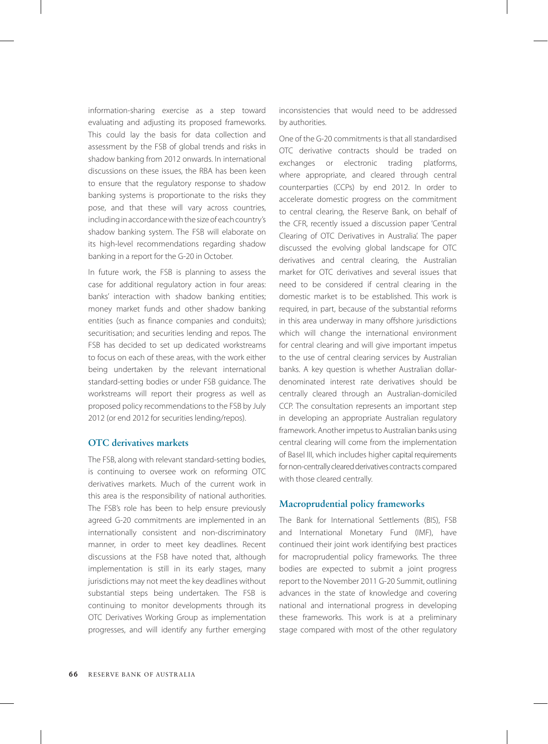information-sharing exercise as a step toward evaluating and adjusting its proposed frameworks. This could lay the basis for data collection and assessment by the FSB of global trends and risks in shadow banking from 2012 onwards. In international discussions on these issues, the RBA has been keen to ensure that the regulatory response to shadow banking systems is proportionate to the risks they pose, and that these will vary across countries, including in accordance with the size of each country's shadow banking system. The FSB will elaborate on its high-level recommendations regarding shadow banking in a report for the G-20 in October.

In future work, the FSB is planning to assess the case for additional regulatory action in four areas: banks' interaction with shadow banking entities; money market funds and other shadow banking entities (such as finance companies and conduits); securitisation; and securities lending and repos. The FSB has decided to set up dedicated workstreams to focus on each of these areas, with the work either being undertaken by the relevant international standard-setting bodies or under FSB guidance. The workstreams will report their progress as well as proposed policy recommendations to the FSB by July 2012 (or end 2012 for securities lending/repos).

## **OTC derivatives markets**

The FSB, along with relevant standard-setting bodies, is continuing to oversee work on reforming OTC derivatives markets. Much of the current work in this area is the responsibility of national authorities. The FSB's role has been to help ensure previously agreed G-20 commitments are implemented in an internationally consistent and non-discriminatory manner, in order to meet key deadlines. Recent discussions at the FSB have noted that, although implementation is still in its early stages, many jurisdictions may not meet the key deadlines without substantial steps being undertaken. The FSB is continuing to monitor developments through its OTC Derivatives Working Group as implementation progresses, and will identify any further emerging

inconsistencies that would need to be addressed by authorities.

One of the G-20 commitments is that all standardised OTC derivative contracts should be traded on exchanges or electronic trading platforms, where appropriate, and cleared through central counterparties (CCPs) by end 2012. In order to accelerate domestic progress on the commitment to central clearing, the Reserve Bank, on behalf of the CFR, recently issued a discussion paper 'Central Clearing of OTC Derivatives in Australia'. The paper discussed the evolving global landscape for OTC derivatives and central clearing, the Australian market for OTC derivatives and several issues that need to be considered if central clearing in the domestic market is to be established. This work is required, in part, because of the substantial reforms in this area underway in many offshore jurisdictions which will change the international environment for central clearing and will give important impetus to the use of central clearing services by Australian banks. A key question is whether Australian dollardenominated interest rate derivatives should be centrally cleared through an Australian-domiciled CCP. The consultation represents an important step in developing an appropriate Australian regulatory framework. Another impetus to Australian banks using central clearing will come from the implementation of Basel III, which includes higher capital requirements for non-centrally cleared derivatives contracts compared with those cleared centrally.

#### **Macroprudential policy frameworks**

The Bank for International Settlements (BIS), FSB and International Monetary Fund (IMF), have continued their joint work identifying best practices for macroprudential policy frameworks. The three bodies are expected to submit a joint progress report to the November 2011 G-20 Summit, outlining advances in the state of knowledge and covering national and international progress in developing these frameworks. This work is at a preliminary stage compared with most of the other regulatory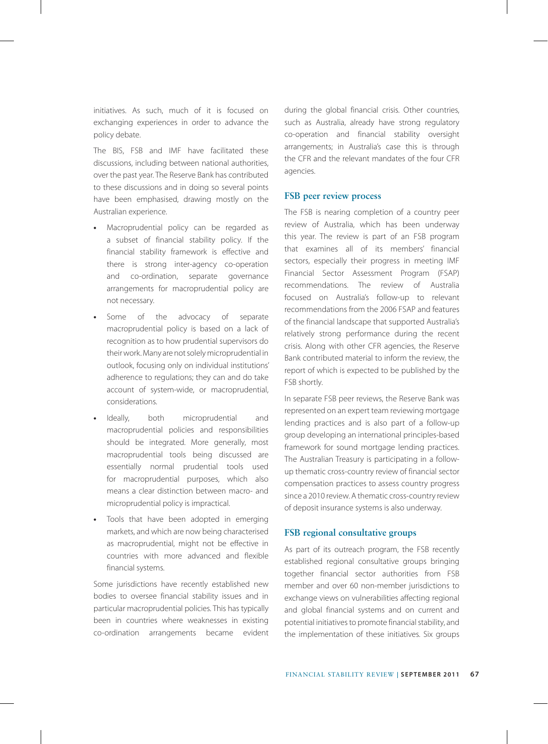initiatives. As such, much of it is focused on exchanging experiences in order to advance the policy debate.

The BIS, FSB and IMF have facilitated these discussions, including between national authorities, over the past year. The Reserve Bank has contributed to these discussions and in doing so several points have been emphasised, drawing mostly on the Australian experience.

- **•** Macroprudential policy can be regarded as a subset of financial stability policy. If the financial stability framework is effective and there is strong inter-agency co-operation and co-ordination, separate governance arrangements for macroprudential policy are not necessary.
- **•** Some of the advocacy of separate macroprudential policy is based on a lack of recognition as to how prudential supervisors do their work. Many are not solely microprudential in outlook, focusing only on individual institutions' adherence to regulations; they can and do take account of system-wide, or macroprudential, considerations.
- **•** Ideally, both microprudential and macroprudential policies and responsibilities should be integrated. More generally, most macroprudential tools being discussed are essentially normal prudential tools used for macroprudential purposes, which also means a clear distinction between macro- and microprudential policy is impractical.
- **•** Tools that have been adopted in emerging markets, and which are now being characterised as macroprudential, might not be effective in countries with more advanced and flexible financial systems.

Some jurisdictions have recently established new bodies to oversee financial stability issues and in particular macroprudential policies. This has typically been in countries where weaknesses in existing co-ordination arrangements became evident during the global financial crisis. Other countries, such as Australia, already have strong regulatory co-operation and financial stability oversight arrangements; in Australia's case this is through the CFR and the relevant mandates of the four CFR agencies.

#### **FSB peer review process**

The FSB is nearing completion of a country peer review of Australia, which has been underway this year. The review is part of an FSB program that examines all of its members' financial sectors, especially their progress in meeting IMF Financial Sector Assessment Program (FSAP) recommendations. The review of Australia focused on Australia's follow-up to relevant recommendations from the 2006 FSAP and features of the financial landscape that supported Australia's relatively strong performance during the recent crisis. Along with other CFR agencies, the Reserve Bank contributed material to inform the review, the report of which is expected to be published by the FSB shortly.

In separate FSB peer reviews, the Reserve Bank was represented on an expert team reviewing mortgage lending practices and is also part of a follow-up group developing an international principles-based framework for sound mortgage lending practices. The Australian Treasury is participating in a followup thematic cross-country review of financial sector compensation practices to assess country progress since a 2010 review. A thematic cross-country review of deposit insurance systems is also underway.

## **FSB regional consultative groups**

As part of its outreach program, the FSB recently established regional consultative groups bringing together financial sector authorities from FSB member and over 60 non-member jurisdictions to exchange views on vulnerabilities affecting regional and global financial systems and on current and potential initiatives to promote financial stability, and the implementation of these initiatives. Six groups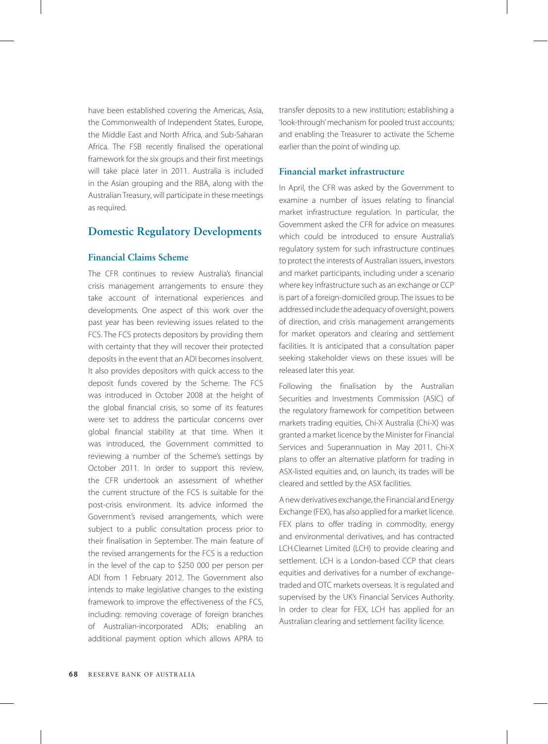have been established covering the Americas, Asia, the Commonwealth of Independent States, Europe, the Middle East and North Africa, and Sub-Saharan Africa. The FSB recently finalised the operational framework for the six groups and their first meetings will take place later in 2011. Australia is included in the Asian grouping and the RBA, along with the Australian Treasury, will participate in these meetings as required.

# **Domestic Regulatory Developments**

## **Financial Claims Scheme**

The CFR continues to review Australia's financial crisis management arrangements to ensure they take account of international experiences and developments. One aspect of this work over the past year has been reviewing issues related to the FCS. The FCS protects depositors by providing them with certainty that they will recover their protected deposits in the event that an ADI becomes insolvent. It also provides depositors with quick access to the deposit funds covered by the Scheme. The FCS was introduced in October 2008 at the height of the global financial crisis, so some of its features were set to address the particular concerns over global financial stability at that time. When it was introduced, the Government committed to reviewing a number of the Scheme's settings by October 2011. In order to support this review, the CFR undertook an assessment of whether the current structure of the FCS is suitable for the post-crisis environment. Its advice informed the Government's revised arrangements, which were subject to a public consultation process prior to their finalisation in September. The main feature of the revised arrangements for the FCS is a reduction in the level of the cap to \$250 000 per person per ADI from 1 February 2012. The Government also intends to make legislative changes to the existing framework to improve the effectiveness of the FCS, including: removing coverage of foreign branches of Australian-incorporated ADIs; enabling an additional payment option which allows APRA to

transfer deposits to a new institution; establishing a 'look-through' mechanism for pooled trust accounts; and enabling the Treasurer to activate the Scheme earlier than the point of winding up.

# **Financial market infrastructure**

In April, the CFR was asked by the Government to examine a number of issues relating to financial market infrastructure regulation. In particular, the Government asked the CFR for advice on measures which could be introduced to ensure Australia's regulatory system for such infrastructure continues to protect the interests of Australian issuers, investors and market participants, including under a scenario where key infrastructure such as an exchange or CCP is part of a foreign-domiciled group. The issues to be addressed include the adequacy of oversight, powers of direction, and crisis management arrangements for market operators and clearing and settlement facilities. It is anticipated that a consultation paper seeking stakeholder views on these issues will be released later this year.

Following the finalisation by the Australian Securities and Investments Commission (ASIC) of the regulatory framework for competition between markets trading equities, Chi-X Australia (Chi-X) was granted a market licence by the Minister for Financial Services and Superannuation in May 2011. Chi-X plans to offer an alternative platform for trading in ASX-listed equities and, on launch, its trades will be cleared and settled by the ASX facilities.

A new derivatives exchange, the Financial and Energy Exchange (FEX), has also applied for a market licence. FEX plans to offer trading in commodity, energy and environmental derivatives, and has contracted LCH.Clearnet Limited (LCH) to provide clearing and settlement. LCH is a London-based CCP that clears equities and derivatives for a number of exchangetraded and OTC markets overseas. It is regulated and supervised by the UK's Financial Services Authority. In order to clear for FEX, LCH has applied for an Australian clearing and settlement facility licence.